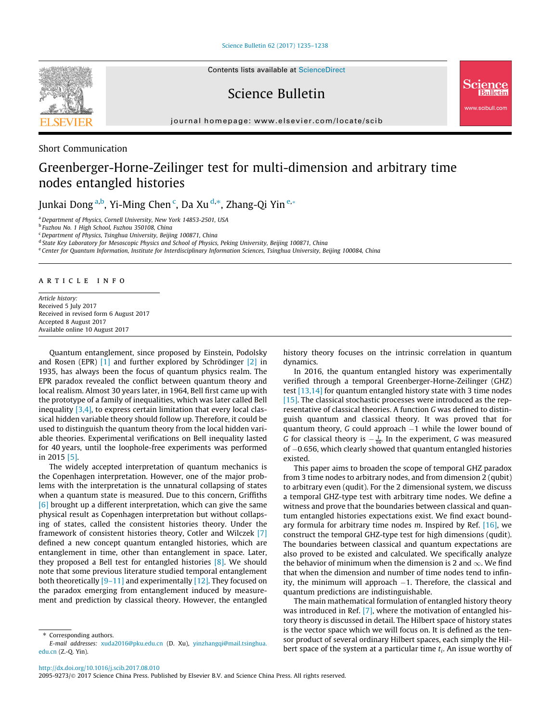[Science Bulletin 62 \(2017\) 1235–1238](http://dx.doi.org/10.1016/j.scib.2017.08.010)



Science Bulletin

journal homepage: [www.elsevier.com/locate/scib](http://www.elsevier.com/locate/scib)

Short Communication

# Greenberger-Horne-Zeilinger test for multi-dimension and arbitrary time nodes entangled histories

Junkai Dong <sup>a,b</sup>, Yi-Ming Chen <sup>c</sup>, Da Xu <sup>d,</sup>\*, Zhang-Qi Yin <sup>e,</sup>\*

<sup>a</sup> Department of Physics, Cornell University, New York 14853-2501, USA

<sup>b</sup> Fuzhou No. 1 High School, Fuzhou 350108, China

<sup>c</sup>Department of Physics, Tsinghua University, Beijing 100871, China

<sup>d</sup> State Key Laboratory for Mesoscopic Physics and School of Physics, Peking University, Beijing 100871, China

<sup>e</sup> Center for Quantum Information, Institute for Interdisciplinary Information Sciences, Tsinghua University, Beijing 100084, China

## article info

Article history: Received 5 July 2017 Received in revised form 6 August 2017 Accepted 8 August 2017 Available online 10 August 2017

Quantum entanglement, since proposed by Einstein, Podolsky and Rosen (EPR) [\[1\]](#page-3-0) and further explored by Schrödinger [\[2\]](#page-3-0) in 1935, has always been the focus of quantum physics realm. The EPR paradox revealed the conflict between quantum theory and local realism. Almost 30 years later, in 1964, Bell first came up with the prototype of a family of inequalities, which was later called Bell inequality  $[3,4]$ , to express certain limitation that every local classical hidden variable theory should follow up. Therefore, it could be used to distinguish the quantum theory from the local hidden variable theories. Experimental verifications on Bell inequality lasted for 40 years, until the loophole-free experiments was performed in 2015 [\[5\].](#page-3-0)

The widely accepted interpretation of quantum mechanics is the Copenhagen interpretation. However, one of the major problems with the interpretation is the unnatural collapsing of states when a quantum state is measured. Due to this concern, Griffiths [\[6\]](#page-3-0) brought up a different interpretation, which can give the same physical result as Copenhagen interpretation but without collapsing of states, called the consistent histories theory. Under the framework of consistent histories theory, Cotler and Wilczek [\[7\]](#page-3-0) defined a new concept quantum entangled histories, which are entanglement in time, other than entanglement in space. Later, they proposed a Bell test for entangled histories [\[8\]](#page-3-0). We should note that some previous literature studied temporal entanglement both theoretically [\[9–11\]](#page-3-0) and experimentally [\[12\].](#page-3-0) They focused on the paradox emerging from entanglement induced by measurement and prediction by classical theory. However, the entangled

Corresponding authors.

history theory focuses on the intrinsic correlation in quantum dynamics.

ww.scibull.com

In 2016, the quantum entangled history was experimentally verified through a temporal Greenberger-Horne-Zeilinger (GHZ) test [\[13,14\]](#page-3-0) for quantum entangled history state with 3 time nodes [\[15\]](#page-3-0). The classical stochastic processes were introduced as the representative of classical theories. A function G was defined to distinguish quantum and classical theory. It was proved that for quantum theory,  $G$  could approach  $-1$  while the lower bound of G for classical theory is  $-\frac{1}{16}$ . In the experiment, G was measured of  $-0.656$ , which clearly showed that quantum entangled histories existed.

This paper aims to broaden the scope of temporal GHZ paradox from 3 time nodes to arbitrary nodes, and from dimension 2 (qubit) to arbitrary even (qudit). For the 2 dimensional system, we discuss a temporal GHZ-type test with arbitrary time nodes. We define a witness and prove that the boundaries between classical and quantum entangled histories expectations exist. We find exact boundary formula for arbitrary time nodes  $m$ . Inspired by Ref. [\[16\]](#page-3-0), we construct the temporal GHZ-type test for high dimensions (qudit). The boundaries between classical and quantum expectations are also proved to be existed and calculated. We specifically analyze the behavior of minimum when the dimension is 2 and  $\infty$ . We find that when the dimension and number of time nodes tend to infinity, the minimum will approach  $-1$ . Therefore, the classical and quantum predictions are indistinguishable.

The main mathematical formulation of entangled history theory was introduced in Ref. [\[7\]](#page-3-0), where the motivation of entangled history theory is discussed in detail. The Hilbert space of history states is the vector space which we will focus on. It is defined as the tensor product of several ordinary Hilbert spaces, each simply the Hilbert space of the system at a particular time  $t_i$ . An issue worthy of

E-mail addresses: [xuda2016@pku.edu.cn](mailto:xuda2016@pku.edu.cn) (D. Xu), [yinzhangqi@mail.tsinghua.](mailto:yinzhangqi@mail.tsinghua.edu.cn) [edu.cn](mailto:yinzhangqi@mail.tsinghua.edu.cn) (Z.-Q. Yin).

<sup>2095-9273/@ 2017</sup> Science China Press. Published by Elsevier B.V. and Science China Press. All rights reserved.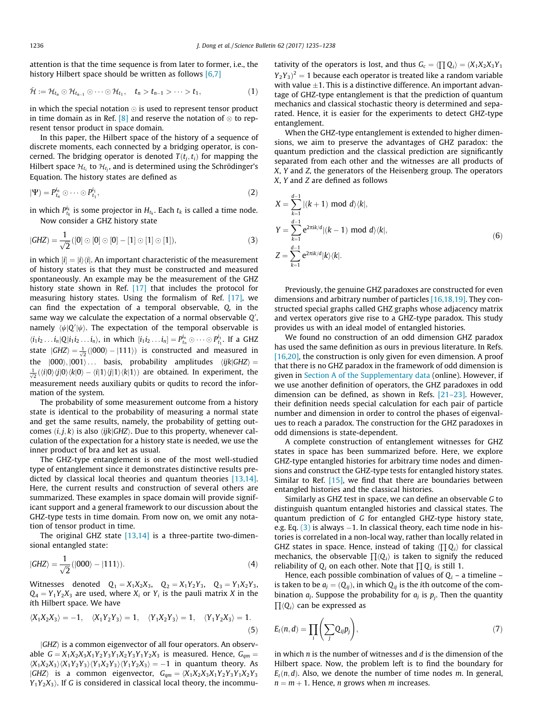attention is that the time sequence is from later to former, i.e., the history Hilbert space should be written as follows [\[6,7\]](#page-3-0)

$$
\check{\mathcal{H}} := \mathcal{H}_{t_n} \odot \mathcal{H}_{t_{n-1}} \odot \cdots \odot \mathcal{H}_{t_1}, \quad t_n > t_{n-1} > \cdots > t_1,
$$
\n
$$
(1)
$$

in which the special notation  $\odot$  is used to represent tensor product in time domain as in Ref.  $[8]$  and reserve the notation of  $\otimes$  to represent tensor product in space domain.

In this paper, the Hilbert space of the history of a sequence of discrete moments, each connected by a bridging operator, is concerned. The bridging operator is denoted  $T(t_i, t_i)$  for mapping the Hilbert space  $\mathcal{H}_{t_i}$  to  $\mathcal{H}_{t_j}$ , and is determined using the Schrödinger's Equation. The history states are defined as

$$
|\Psi\rangle = P_{t_n}^{i_n} \odot \cdots \odot P_{t_1}^{i_1},\tag{2}
$$

in which  $P_{t_k}^{i_k}$  is some projector in  $H_{t_k}$ . Each  $t_k$  is called a time node. Now consider a GHZ history state

$$
|GHZ| = \frac{1}{\sqrt{2}}([0] \odot [0] \odot [0] - [1] \odot [1] \odot [1]), \tag{3}
$$

in which  $|i| = |i\rangle\langle i|$ . An important characteristic of the measurement of history states is that they must be constructed and measured spontaneously. An example may be the measurement of the GHZ history state shown in Ref. [\[17\]](#page-3-0) that includes the protocol for measuring history states. Using the formalism of Ref. [\[17\]](#page-3-0), we can find the expectation of a temporal observable, Q, in the same way we calculate the expectation of a normal observable  $\mathcal{Q}',$ namely  $\langle \psi | {\rm Q}' | \psi \rangle$ . The expectation of the temporal observable is  $\langle i_1 i_2 ... i_n | Q | i_1 i_2 ... i_n \rangle$ , in which  $[i_1 i_2 ... i_n] = P_{t_n}^{i_n} \odot \cdots \odot P_{t_1}^{i_1}$ . If a GHZ state  $|GHZ\rangle = \frac{1}{\sqrt{2}}(|000\rangle - |111\rangle)$  is constructed and measured in the  $|000\rangle, |001\rangle...$  basis, probability amplitudes  $\langle ijk|GHZ\rangle =$  $\frac{1}{\sqrt{2}} (\langle i | 0 \rangle \langle j | 0 \rangle \langle k | 0 \rangle - \langle i | 1 \rangle \langle j | 1 \rangle \langle k | 1 \rangle)$  are obtained. In experiment, the measurement needs auxiliary qubits or qudits to record the information of the system.

The probability of some measurement outcome from a history state is identical to the probability of measuring a normal state and get the same results, namely, the probability of getting outcomes  $(i, j, k)$  is also  $\langle ijk|GHZ\rangle$ . Due to this property, whenever calculation of the expectation for a history state is needed, we use the inner product of bra and ket as usual.

The GHZ-type entanglement is one of the most well-studied type of entanglement since it demonstrates distinctive results predicted by classical local theories and quantum theories [\[13,14\].](#page-3-0) Here, the current results and construction of several others are summarized. These examples in space domain will provide significant support and a general framework to our discussion about the GHZ-type tests in time domain. From now on, we omit any notation of tensor product in time.

The original GHZ state [\[13,14\]](#page-3-0) is a three-partite two-dimensional entangled state:

$$
|GHZ\rangle = \frac{1}{\sqrt{2}}(|000\rangle - |111\rangle). \tag{4}
$$

Witnesses denoted  $Q_1 = X_1X_2X_3$ ,  $Q_2 = X_1Y_2Y_3$ ,  $Q_3 = Y_1X_2Y_3$ ,  $Q_4 = Y_1Y_2X_3$  are used, where  $X_i$  or  $Y_i$  is the pauli matrix X in the ith Hilbert space. We have

$$
\langle X_1 X_2 X_3 \rangle = -1, \quad \langle X_1 Y_2 Y_3 \rangle = 1, \quad \langle Y_1 X_2 Y_3 \rangle = 1, \quad \langle Y_1 Y_2 X_3 \rangle = 1.
$$
\n(5)

 $|GHZ\rangle$  is a common eigenvector of all four operators. An observable  $G = X_1X_2X_3X_1Y_2Y_3Y_1X_2Y_3Y_1Y_2X_3$  is measured. Hence,  $G_{qm} =$  $\langle X_1X_2X_3\rangle \langle X_1Y_2Y_3\rangle \langle Y_1X_2Y_3\rangle \langle Y_1Y_2X_3\rangle = -1$  in quantum theory. As  $|GHZ\rangle$  is a common eigenvector,  $G_{qm} = \langle X_1X_2X_3X_1Y_2Y_3Y_1X_2Y_3$  $Y_1Y_2X_3$ ). If G is considered in classical local theory, the incommutativity of the operators is lost, and thus  $G_c = \langle \prod Q_i \rangle = (X_1X_2X_3Y_1)$  $(Y_2Y_3)^2 = 1$  because each operator is treated like a random variable with value  $\pm 1$ . This is a distinctive difference. An important advantage of GHZ-type entanglement is that the prediction of quantum mechanics and classical stochastic theory is determined and separated. Hence, it is easier for the experiments to detect GHZ-type entanglement.

When the GHZ-type entanglement is extended to higher dimensions, we aim to preserve the advantages of GHZ paradox: the quantum prediction and the classical prediction are significantly separated from each other and the witnesses are all products of X, Y and Z, the generators of the Heisenberg group. The operators X, Y and Z are defined as follows

$$
X = \sum_{k=1}^{d-1} |(k+1) \mod d\rangle\langle k|,
$$
  
\n
$$
Y = \sum_{k=1}^{d-1} e^{2\pi i k/d} |(k-1) \mod d\rangle\langle k|,
$$
  
\n
$$
Z = \sum_{k=1}^{d-1} e^{2\pi i k/d} |k\rangle\langle k|.
$$
 (6)

Previously, the genuine GHZ paradoxes are constructed for even dimensions and arbitrary number of particles [\[16,18,19\].](#page-3-0) They constructed special graphs called GHZ graphs whose adjacency matrix and vertex operators give rise to a GHZ-type paradox. This study provides us with an ideal model of entangled histories.

We found no construction of an odd dimension GHZ paradox has used the same definition as ours in previous literature. In Refs. [\[16,20\]](#page-3-0), the construction is only given for even dimension. A proof that there is no GHZ paradox in the framework of odd dimension is given in [Section A of the Supplementary data](#page-3-0) (online). However, if we use another definition of operators, the GHZ paradoxes in odd dimension can be defined, as shown in Refs. [\[21–23\]](#page-3-0). However, their definition needs special calculation for each pair of particle number and dimension in order to control the phases of eigenvalues to reach a paradox. The construction for the GHZ paradoxes in odd dimensions is state-dependent.

A complete construction of entanglement witnesses for GHZ states in space has been summarized before. Here, we explore GHZ-type entangled histories for arbitrary time nodes and dimensions and construct the GHZ-type tests for entangled history states. Similar to Ref.  $[15]$ , we find that there are boundaries between entangled histories and the classical histories.

Similarly as GHZ test in space, we can define an observable G to distinguish quantum entangled histories and classical states. The quantum prediction of G for entangled GHZ-type history state, e.g. Eq.  $(3)$  is always  $-1$ . In classical theory, each time node in histories is correlated in a non-local way, rather than locally related in GHZ states in space. Hence, instead of taking  $\langle \prod Q_i \rangle$  for classical mechanics, the observable  $\prod \langle Q_i \rangle$  is taken to signify the reduced reliability of  $Q_i$  on each other. Note that  $\prod Q_i$  is still 1.

Hence, each possible combination of values of  $Q_i$  – a timeline – is taken to be  $a_j = (Q_{ij})$ , in which  $Q_{ij}$  is the *i*th outcome of the combination  $a_i$ . Suppose the probability for  $a_i$  is  $p_i$ . Then the quantity  $\prod \langle Q_i \rangle$  can be expressed as

$$
E_t(n,d) = \prod_i \left( \sum_j Q_{ij} p_j \right),\tag{7}
$$

in which  $n$  is the number of witnesses and  $d$  is the dimension of the Hilbert space. Now, the problem left is to find the boundary for  $E_t(n, d)$ . Also, we denote the number of time nodes m. In general,  $n = m + 1$ . Hence, *n* grows when *m* increases.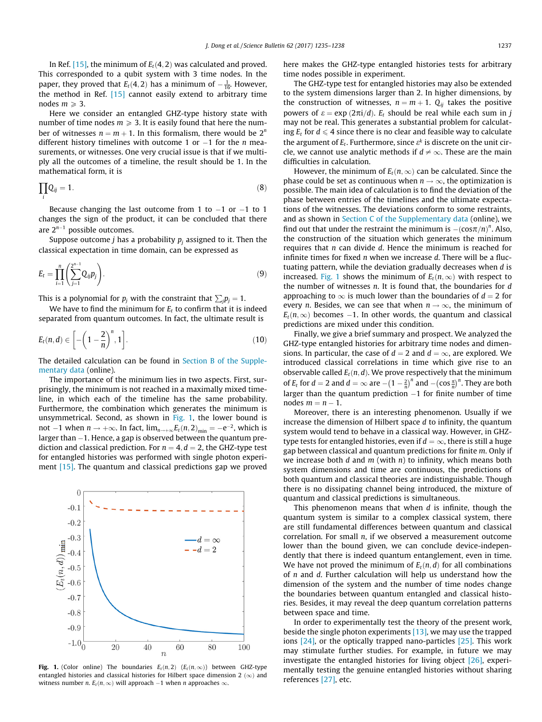In Ref. [\[15\]](#page-3-0), the minimum of  $E_t(4, 2)$  was calculated and proved. This corresponded to a qubit system with 3 time nodes. In the paper, they proved that  $E_t(4,2)$  has a minimum of  $-\frac{1}{16}$ . However, the method in Ref. [\[15\]](#page-3-0) cannot easily extend to arbitrary time nodes  $m \geqslant 3$ .

Here we consider an entangled GHZ-type history state with number of time nodes  $m \geqslant 3$ . It is easily found that here the number of witnesses  $n = m + 1$ . In this formalism, there would be  $2^n$ different history timelines with outcome 1 or  $-1$  for the *n* measurements, or witnesses. One very crucial issue is that if we multiply all the outcomes of a timeline, the result should be 1. In the mathematical form, it is

$$
\prod_i Q_{ij} = 1. \tag{8}
$$

Because changing the last outcome from 1 to  $-1$  or  $-1$  to 1 changes the sign of the product, it can be concluded that there are  $2^{n-1}$  possible outcomes.

Suppose outcome *j* has a probability  $p_i$  assigned to it. Then the classical expectation in time domain, can be expressed as

$$
E_t = \prod_{i=1}^n \left( \sum_{j=1}^{2^{n-1}} Q_{ij} p_j \right).
$$
 (9)

This is a polynomial for  $p_j$  with the constraint that  $\sum_j\!p_j=1.$ 

We have to find the minimum for  $E_t$  to confirm that it is indeed separated from quantum outcomes. In fact, the ultimate result is

$$
E_t(n,d) \in \left[ -\left(1-\frac{2}{n}\right)^n, 1 \right]. \tag{10}
$$

The detailed calculation can be found in [Section B of the Supple](#page-3-0)[mentary data](#page-3-0) (online).

The importance of the minimum lies in two aspects. First, surprisingly, the minimum is not reached in a maximally mixed timeline, in which each of the timeline has the same probability. Furthermore, the combination which generates the minimum is unsymmetrical. Second, as shown in Fig. 1, the lower bound is not -1 when  $n \to +\infty$ . In fact,  $\lim_{n \to +\infty} E_t(n, 2)_{\min} = -e^{-2}$ , which is larger than  $-1$ . Hence, a gap is observed between the quantum prediction and classical prediction. For  $n = 4$ ,  $d = 2$ , the GHZ-type test for entangled histories was performed with single photon experi-ment [\[15\].](#page-3-0) The quantum and classical predictions gap we proved



**Fig. 1.** (Color online) The boundaries  $E_t(n,2)$  ( $E_t(n,\infty)$ ) between GHZ-type entangled histories and classical histories for Hilbert space dimension 2  $(\infty)$  and witness number *n*.  $E_t(n, \infty)$  will approach  $-1$  when *n* approaches  $\infty$ .

here makes the GHZ-type entangled histories tests for arbitrary time nodes possible in experiment.

The GHZ-type test for entangled histories may also be extended to the system dimensions larger than 2. In higher dimensions, by the construction of witnesses,  $n = m + 1$ .  $Q_{ii}$  takes the positive powers of  $\varepsilon = \exp{(2\pi i/d)}$ . E<sub>t</sub> should be real while each sum in j may not be real. This generates a substantial problem for calculating  $E_t$  for  $d \leq 4$  since there is no clear and feasible way to calculate the argument of  $E_t$ . Furthermore, since  $\varepsilon^k$  is discrete on the unit circle, we cannot use analytic methods if  $d \neq \infty$ . These are the main difficulties in calculation.

However, the minimum of  $E_t(n,\infty)$  can be calculated. Since the phase could be set as continuous when  $n \to \infty$ , the optimization is possible. The main idea of calculation is to find the deviation of the phase between entries of the timelines and the ultimate expectations of the witnesses. The deviations conform to some restraints, and as shown in [Section C of the Supplementary data](#page-3-0) (online), we find out that under the restraint the minimum is  $-(\cos \pi/n)^n$ . Also, the construction of the situation which generates the minimum requires that *n* can divide *d*. Hence the minimum is reached for infinite times for fixed  $n$  when we increase  $d$ . There will be a fluctuating pattern, while the deviation gradually decreases when d is increased. Fig. 1 shows the minimum of  $E_t(n,\infty)$  with respect to the number of witnesses  $n$ . It is found that, the boundaries for  $d$ approaching to  $\infty$  is much lower than the boundaries of  $d = 2$  for every *n*. Besides, we can see that when  $n \to \infty$ , the minimum of  $E_t(n,\infty)$  becomes -1. In other words, the quantum and classical predictions are mixed under this condition.

Finally, we give a brief summary and prospect. We analyzed the GHZ-type entangled histories for arbitrary time nodes and dimensions. In particular, the case of  $d = 2$  and  $d = \infty$ , are explored. We introduced classical correlations in time which give rise to an observable called  $E_t(n, d)$ . We prove respectively that the minimum of  $E_t$  for  $d = 2$  and  $d = \infty$  are  $-\left(1 - \frac{2}{n}\right)^n$  and  $-\left(\cos \frac{\pi}{n}\right)^n$ . They are both larger than the quantum prediction  $-1$  for finite number of time nodes  $m = n - 1$ .

Moreover, there is an interesting phenomenon. Usually if we increase the dimension of Hilbert space d to infinity, the quantum system would tend to behave in a classical way. However, in GHZtype tests for entangled histories, even if  $d = \infty$ , there is still a huge gap between classical and quantum predictions for finite m. Only if we increase both  $d$  and  $m$  (with  $n$ ) to infinity, which means both system dimensions and time are continuous, the predictions of both quantum and classical theories are indistinguishable. Though there is no dissipating channel being introduced, the mixture of quantum and classical predictions is simultaneous.

This phenomenon means that when  $d$  is infinite, though the quantum system is similar to a complex classical system, there are still fundamental differences between quantum and classical correlation. For small n, if we observed a measurement outcome lower than the bound given, we can conclude device-independently that there is indeed quantum entanglement, even in time. We have not proved the minimum of  $E_t(n,d)$  for all combinations of n and d. Further calculation will help us understand how the dimension of the system and the number of time nodes change the boundaries between quantum entangled and classical histories. Besides, it may reveal the deep quantum correlation patterns between space and time.

In order to experimentally test the theory of the present work, beside the single photon experiments  $[13]$ , we may use the trapped ions [\[24\],](#page-3-0) or the optically trapped nano-particles [\[25\]](#page-3-0). This work may stimulate further studies. For example, in future we may investigate the entangled histories for living object [\[26\]](#page-3-0), experimentally testing the genuine entangled histories without sharing references [\[27\],](#page-3-0) etc.